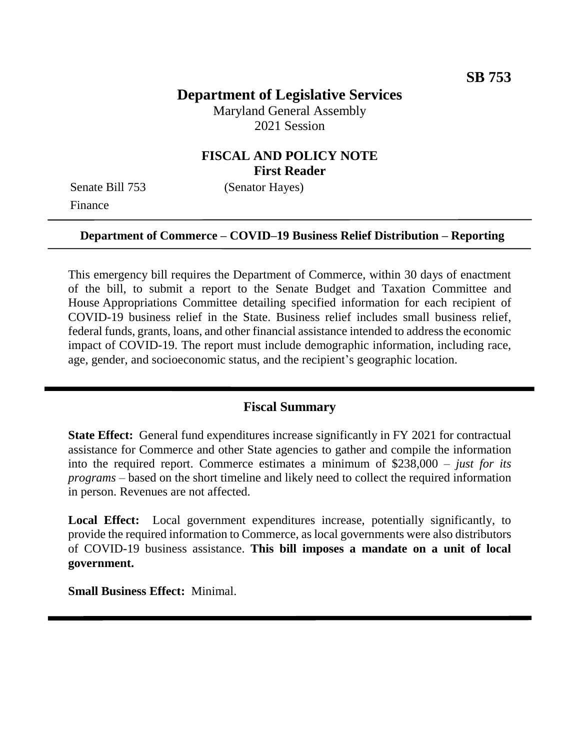# **Department of Legislative Services**

Maryland General Assembly 2021 Session

### **FISCAL AND POLICY NOTE First Reader**

Senate Bill 753 (Senator Hayes) Finance

#### **Department of Commerce – COVID–19 Business Relief Distribution – Reporting**

This emergency bill requires the Department of Commerce, within 30 days of enactment of the bill, to submit a report to the Senate Budget and Taxation Committee and House Appropriations Committee detailing specified information for each recipient of COVID-19 business relief in the State. Business relief includes small business relief, federal funds, grants, loans, and other financial assistance intended to address the economic impact of COVID-19. The report must include demographic information, including race, age, gender, and socioeconomic status, and the recipient's geographic location.

#### **Fiscal Summary**

**State Effect:** General fund expenditures increase significantly in FY 2021 for contractual assistance for Commerce and other State agencies to gather and compile the information into the required report. Commerce estimates a minimum of \$238,000 – *just for its programs* – based on the short timeline and likely need to collect the required information in person. Revenues are not affected.

Local Effect: Local government expenditures increase, potentially significantly, to provide the required information to Commerce, as local governments were also distributors of COVID-19 business assistance. **This bill imposes a mandate on a unit of local government.**

**Small Business Effect:** Minimal.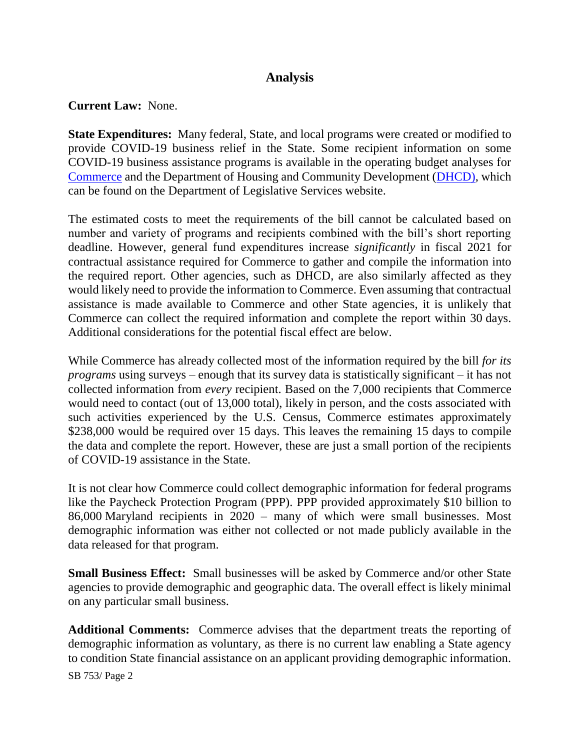## **Analysis**

### **Current Law:** None.

**State Expenditures:** Many federal, State, and local programs were created or modified to provide COVID-19 business relief in the State. Some recipient information on some COVID-19 business assistance programs is available in the operating budget analyses for [Commerce](http://mgaleg.maryland.gov/pubs/budgetfiscal/2022fy-budget-docs-operating-T00-Department-of-Commerce.pdf) and the Department of Housing and Community Development [\(DHCD\)](http://mgaleg.maryland.gov/pubs/budgetfiscal/2022fy-budget-docs-operating-S00A-Department-of-Housing-and-Community-Development.pdf), which can be found on the Department of Legislative Services website.

The estimated costs to meet the requirements of the bill cannot be calculated based on number and variety of programs and recipients combined with the bill's short reporting deadline. However, general fund expenditures increase *significantly* in fiscal 2021 for contractual assistance required for Commerce to gather and compile the information into the required report. Other agencies, such as DHCD, are also similarly affected as they would likely need to provide the information to Commerce. Even assuming that contractual assistance is made available to Commerce and other State agencies, it is unlikely that Commerce can collect the required information and complete the report within 30 days. Additional considerations for the potential fiscal effect are below.

While Commerce has already collected most of the information required by the bill *for its programs* using surveys – enough that its survey data is statistically significant – it has not collected information from *every* recipient. Based on the 7,000 recipients that Commerce would need to contact (out of 13,000 total), likely in person, and the costs associated with such activities experienced by the U.S. Census, Commerce estimates approximately \$238,000 would be required over 15 days. This leaves the remaining 15 days to compile the data and complete the report. However, these are just a small portion of the recipients of COVID-19 assistance in the State.

It is not clear how Commerce could collect demographic information for federal programs like the Paycheck Protection Program (PPP). PPP provided approximately \$10 billion to 86,000 Maryland recipients in 2020 – many of which were small businesses. Most demographic information was either not collected or not made publicly available in the data released for that program.

**Small Business Effect:** Small businesses will be asked by Commerce and/or other State agencies to provide demographic and geographic data. The overall effect is likely minimal on any particular small business.

**Additional Comments:** Commerce advises that the department treats the reporting of demographic information as voluntary, as there is no current law enabling a State agency to condition State financial assistance on an applicant providing demographic information.

SB 753/ Page 2